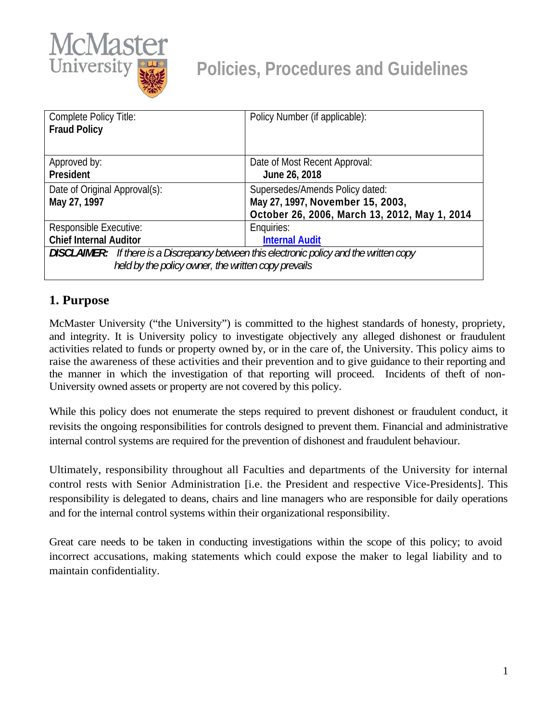

| Policy Number (if applicable):                                                                   |  |
|--------------------------------------------------------------------------------------------------|--|
|                                                                                                  |  |
|                                                                                                  |  |
| Date of Most Recent Approval:                                                                    |  |
| June 26, 2018                                                                                    |  |
| Supersedes/Amends Policy dated:                                                                  |  |
| May 27, 1997, November 15, 2003,                                                                 |  |
| October 26, 2006, March 13, 2012, May 1, 2014                                                    |  |
| Enquiries:                                                                                       |  |
| <b>Internal Audit</b>                                                                            |  |
| <b>DISCLAIMER:</b> If there is a Discrepancy between this electronic policy and the written copy |  |
| held by the policy owner, the written copy prevails                                              |  |
|                                                                                                  |  |

## **1. Purpose**

McMaster University ("the University") is committed to the highest standards of honesty, propriety, and integrity. It is University policy to investigate objectively any alleged dishonest or fraudulent activities related to funds or property owned by, or in the care of, the University. This policy aims to raise the awareness of these activities and their prevention and to give guidance to their reporting and the manner in which the investigation of that reporting will proceed. Incidents of theft of non-University owned assets or property are not covered by this policy.

While this policy does not enumerate the steps required to prevent dishonest or fraudulent conduct, it revisits the ongoing responsibilities for controls designed to prevent them. Financial and administrative internal control systems are required for the prevention of dishonest and fraudulent behaviour.

Ultimately, responsibility throughout all Faculties and departments of the University for internal control rests with Senior Administration [i.e. the President and respective Vice-Presidents]. This responsibility is delegated to deans, chairs and line managers who are responsible for daily operations and for the internal control systems within their organizational responsibility.

Great care needs to be taken in conducting investigations within the scope of this policy; to avoid incorrect accusations, making statements which could expose the maker to legal liability and to maintain confidentiality.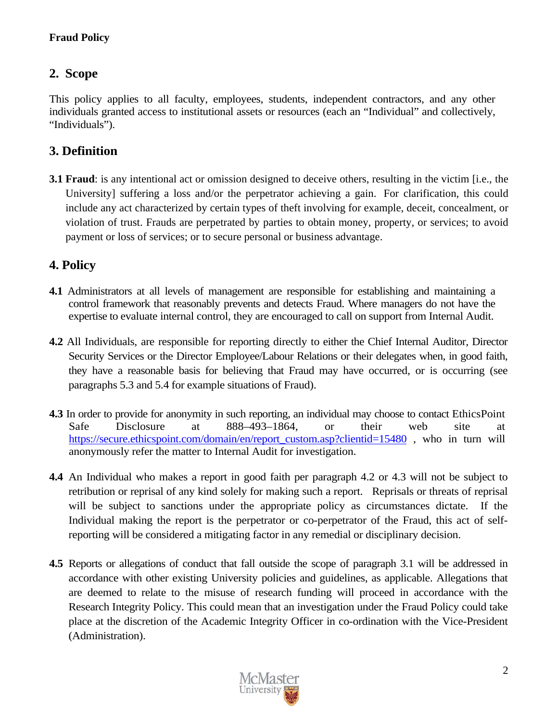### **Fraud Policy**

## **2. Scope**

This policy applies to all faculty, employees, students, independent contractors, and any other individuals granted access to institutional assets or resources (each an "Individual" and collectively, "Individuals").

## **3. Definition**

**3.1 Fraud**: is any intentional act or omission designed to deceive others, resulting in the victim [i.e., the University] suffering a loss and/or the perpetrator achieving a gain. For clarification, this could include any act characterized by certain types of theft involving for example, deceit, concealment, or violation of trust. Frauds are perpetrated by parties to obtain money, property, or services; to avoid payment or loss of services; or to secure personal or business advantage.

## **4. Policy**

- **4.1** Administrators at all levels of management are responsible for establishing and maintaining a control framework that reasonably prevents and detects Fraud. Where managers do not have the expertise to evaluate internal control, they are encouraged to call on support from Internal Audit.
- **4.2** All Individuals, are responsible for reporting directly to either the Chief Internal Auditor, Director Security Services or the Director Employee/Labour Relations or their delegates when, in good faith, they have a reasonable basis for believing that Fraud may have occurred, or is occurring (see paragraphs 5.3 and 5.4 for example situations of Fraud).
- **4.3** In order to provide for anonymity in such reporting, an individual may choose to contact EthicsPoint Safe Disclosure at 888–493–1864, or their web site at https://secure.ethicspoint.com/domain/en/report\_custom.asp?clientid=15480 , who in turn will anonymously refer the matter to Internal Audit for investigation.
- **4.4** An Individual who makes a report in good faith per paragraph 4.2 or 4.3 will not be subject to retribution or reprisal of any kind solely for making such a report. Reprisals or threats of reprisal will be subject to sanctions under the appropriate policy as circumstances dictate. If the Individual making the report is the perpetrator or co-perpetrator of the Fraud, this act of selfreporting will be considered a mitigating factor in any remedial or disciplinary decision.
- **4.5** Reports or allegations of conduct that fall outside the scope of paragraph 3.1 will be addressed in accordance with other existing University policies and guidelines, as applicable. Allegations that are deemed to relate to the misuse of research funding will proceed in accordance with the Research Integrity Policy. This could mean that an investigation under the Fraud Policy could take place at the discretion of the Academic Integrity Officer in co-ordination with the Vice-President (Administration).

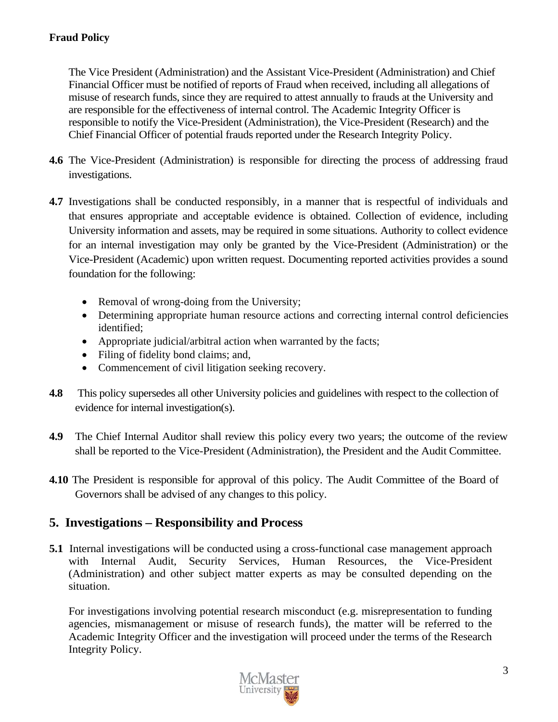The Vice President (Administration) and the Assistant Vice-President (Administration) and Chief Financial Officer must be notified of reports of Fraud when received, including all allegations of misuse of research funds, since they are required to attest annually to frauds at the University and are responsible for the effectiveness of internal control. The Academic Integrity Officer is responsible to notify the Vice-President (Administration), the Vice-President (Research) and the Chief Financial Officer of potential frauds reported under the Research Integrity Policy.

- **4.6** The Vice-President (Administration) is responsible for directing the process of addressing fraud investigations.
- **4.7** Investigations shall be conducted responsibly, in a manner that is respectful of individuals and that ensures appropriate and acceptable evidence is obtained. Collection of evidence, including University information and assets, may be required in some situations. Authority to collect evidence for an internal investigation may only be granted by the Vice-President (Administration) or the Vice-President (Academic) upon written request. Documenting reported activities provides a sound foundation for the following:
	- Removal of wrong-doing from the University;
	- Determining appropriate human resource actions and correcting internal control deficiencies identified;
	- Appropriate judicial/arbitral action when warranted by the facts;
	- Filing of fidelity bond claims; and,
	- Commencement of civil litigation seeking recovery.
- **4.8** This policy supersedes all other University policies and guidelines with respect to the collection of evidence for internal investigation(s).
- **4.9** The Chief Internal Auditor shall review this policy every two years; the outcome of the review shall be reported to the Vice-President (Administration), the President and the Audit Committee.
- **4.10** The President is responsible for approval of this policy. The Audit Committee of the Board of Governors shall be advised of any changes to this policy.

## **5. Investigations – Responsibility and Process**

**5.1** Internal investigations will be conducted using a cross-functional case management approach with Internal Audit, Security Services, Human Resources, the Vice-President (Administration) and other subject matter experts as may be consulted depending on the situation.

For investigations involving potential research misconduct (e.g. misrepresentation to funding agencies, mismanagement or misuse of research funds), the matter will be referred to the Academic Integrity Officer and the investigation will proceed under the terms of the Research Integrity Policy.

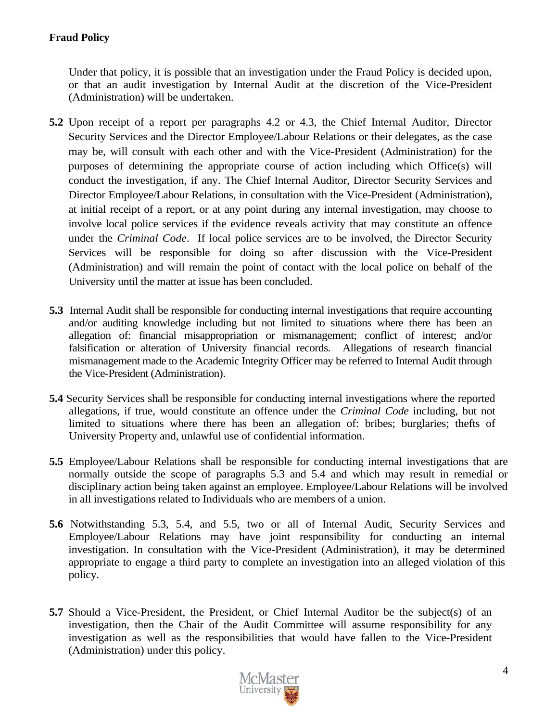#### **Fraud Policy**

Under that policy, it is possible that an investigation under the Fraud Policy is decided upon, or that an audit investigation by Internal Audit at the discretion of the Vice-President (Administration) will be undertaken.

- **5.2** Upon receipt of a report per paragraphs 4.2 or 4.3, the Chief Internal Auditor, Director Security Services and the Director Employee/Labour Relations or their delegates, as the case may be, will consult with each other and with the Vice-President (Administration) for the purposes of determining the appropriate course of action including which Office(s) will conduct the investigation, if any. The Chief Internal Auditor, Director Security Services and Director Employee/Labour Relations, in consultation with the Vice-President (Administration), at initial receipt of a report, or at any point during any internal investigation, may choose to involve local police services if the evidence reveals activity that may constitute an offence under the *Criminal Code*. If local police services are to be involved, the Director Security Services will be responsible for doing so after discussion with the Vice-President (Administration) and will remain the point of contact with the local police on behalf of the University until the matter at issue has been concluded.
- **5.3** Internal Audit shall be responsible for conducting internal investigations that require accounting and/or auditing knowledge including but not limited to situations where there has been an allegation of: financial misappropriation or mismanagement; conflict of interest; and/or falsification or alteration of University financial records. Allegations of research financial mismanagement made to the Academic Integrity Officer may be referred to Internal Audit through the Vice-President (Administration).
- **5.4** Security Services shall be responsible for conducting internal investigations where the reported allegations, if true, would constitute an offence under the *Criminal Code* including, but not limited to situations where there has been an allegation of: bribes; burglaries; thefts of University Property and, unlawful use of confidential information.
- **5.5** Employee/Labour Relations shall be responsible for conducting internal investigations that are normally outside the scope of paragraphs 5.3 and 5.4 and which may result in remedial or disciplinary action being taken against an employee. Employee/Labour Relations will be involved in all investigations related to Individuals who are members of a union.
- **5.6** Notwithstanding 5.3, 5.4, and 5.5, two or all of Internal Audit, Security Services and Employee/Labour Relations may have joint responsibility for conducting an internal investigation. In consultation with the Vice-President (Administration), it may be determined appropriate to engage a third party to complete an investigation into an alleged violation of this policy.
- **5.7** Should a Vice-President, the President, or Chief Internal Auditor be the subject(s) of an investigation, then the Chair of the Audit Committee will assume responsibility for any investigation as well as the responsibilities that would have fallen to the Vice-President (Administration) under this policy.

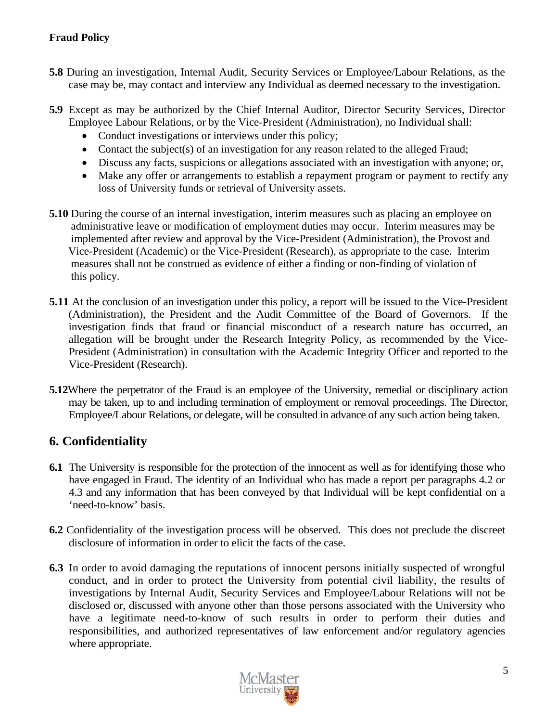#### **Fraud Policy**

- **5.8** During an investigation, Internal Audit, Security Services or Employee/Labour Relations, as the case may be, may contact and interview any Individual as deemed necessary to the investigation.
- **5.9** Except as may be authorized by the Chief Internal Auditor, Director Security Services, Director Employee Labour Relations, or by the Vice-President (Administration), no Individual shall:
	- Conduct investigations or interviews under this policy;
	- Contact the subject(s) of an investigation for any reason related to the alleged Fraud;
	- Discuss any facts, suspicions or allegations associated with an investigation with anyone; or,
	- Make any offer or arrangements to establish a repayment program or payment to rectify any loss of University funds or retrieval of University assets.
- **5.10** During the course of an internal investigation, interim measures such as placing an employee on administrative leave or modification of employment duties may occur. Interim measures may be implemented after review and approval by the Vice-President (Administration), the Provost and Vice-President (Academic) or the Vice-President (Research), as appropriate to the case. Interim measures shall not be construed as evidence of either a finding or non-finding of violation of this policy.
- **5.11** At the conclusion of an investigation under this policy, a report will be issued to the Vice-President (Administration), the President and the Audit Committee of the Board of Governors. If the investigation finds that fraud or financial misconduct of a research nature has occurred, an allegation will be brought under the Research Integrity Policy, as recommended by the Vice-President (Administration) in consultation with the Academic Integrity Officer and reported to the Vice-President (Research).
- **5.12**Where the perpetrator of the Fraud is an employee of the University, remedial or disciplinary action may be taken, up to and including termination of employment or removal proceedings. The Director, Employee/Labour Relations, or delegate, will be consulted in advance of any such action being taken.

# **6. Confidentiality**

- **6.1** The University is responsible for the protection of the innocent as well as for identifying those who have engaged in Fraud. The identity of an Individual who has made a report per paragraphs 4.2 or 4.3 and any information that has been conveyed by that Individual will be kept confidential on a 'need-to-know' basis.
- **6.2** Confidentiality of the investigation process will be observed. This does not preclude the discreet disclosure of information in order to elicit the facts of the case.
- **6.3** In order to avoid damaging the reputations of innocent persons initially suspected of wrongful conduct, and in order to protect the University from potential civil liability, the results of investigations by Internal Audit, Security Services and Employee/Labour Relations will not be disclosed or, discussed with anyone other than those persons associated with the University who have a legitimate need-to-know of such results in order to perform their duties and responsibilities, and authorized representatives of law enforcement and/or regulatory agencies where appropriate.